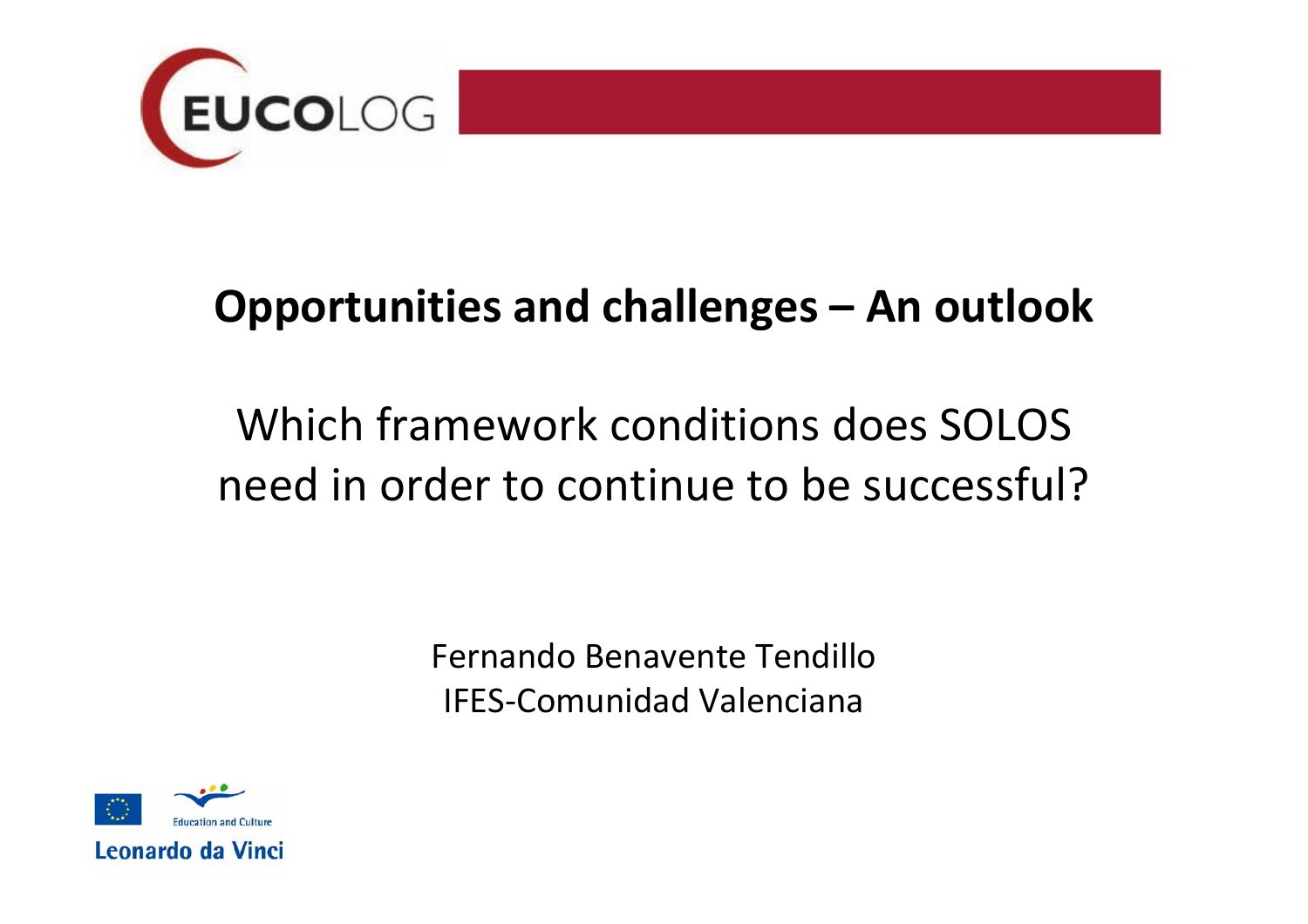

#### **Opportunities and challenges – An outlook**

#### Which framework conditions does SOLOS need in order to continue to be successful?

Fernando Benavente Tendillo IFES‐Comunidad Valenciana

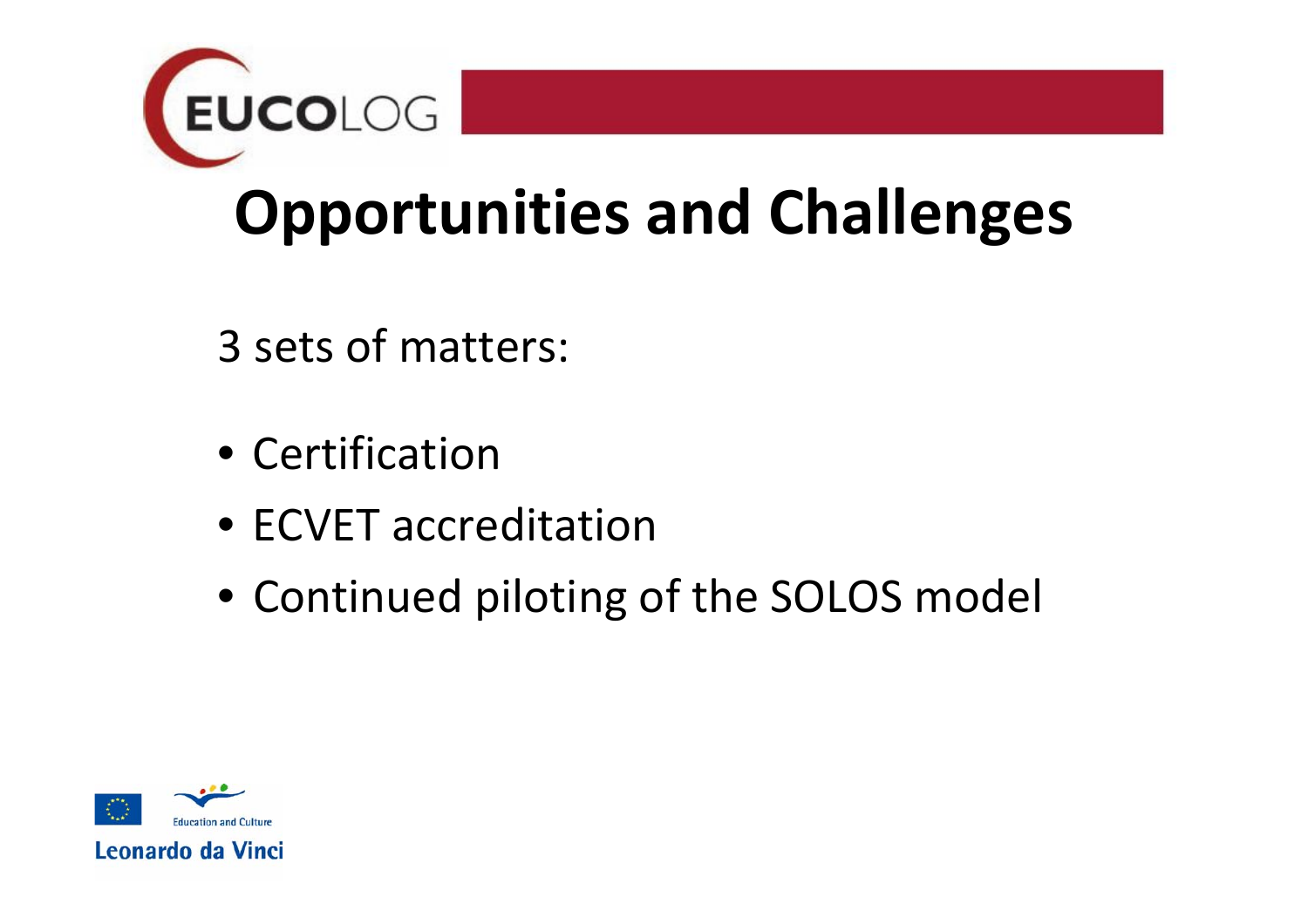

## **Opportunities and Challenges**

3 sets of matters:

- Certification
- ECVET accreditation
- Continued piloting of the SOLOS model

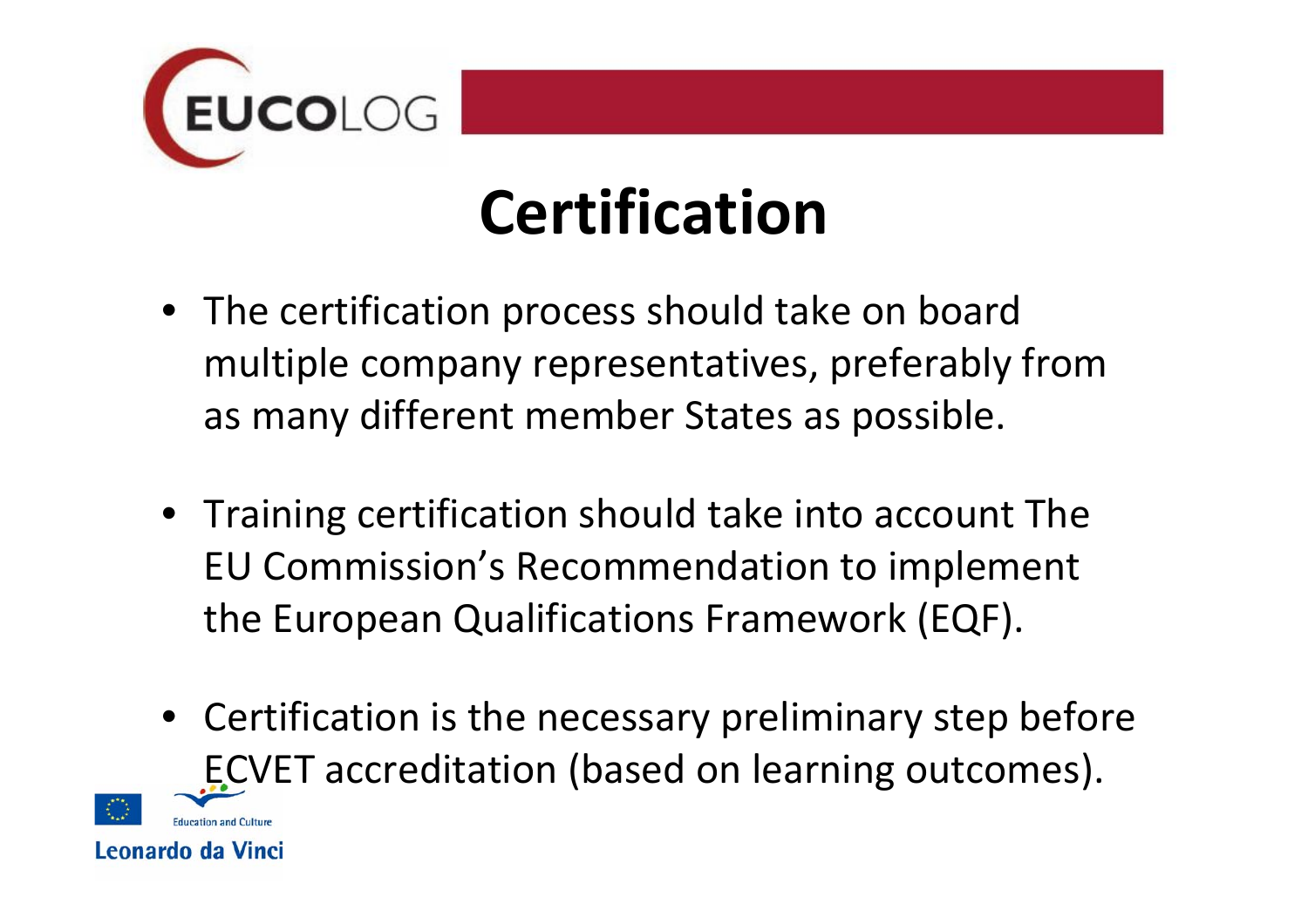

#### **Certification**

- The certification process should take on board multiple company representatives, preferably from as many different member States as possible.
- Training certification should take into account The EU Commission's Recommendation to implement the European Qualifications Framework (EQF).
- Certification is the necessary preliminary step before ECVET accreditation (based on learning outcomes).Leonardo da Vinci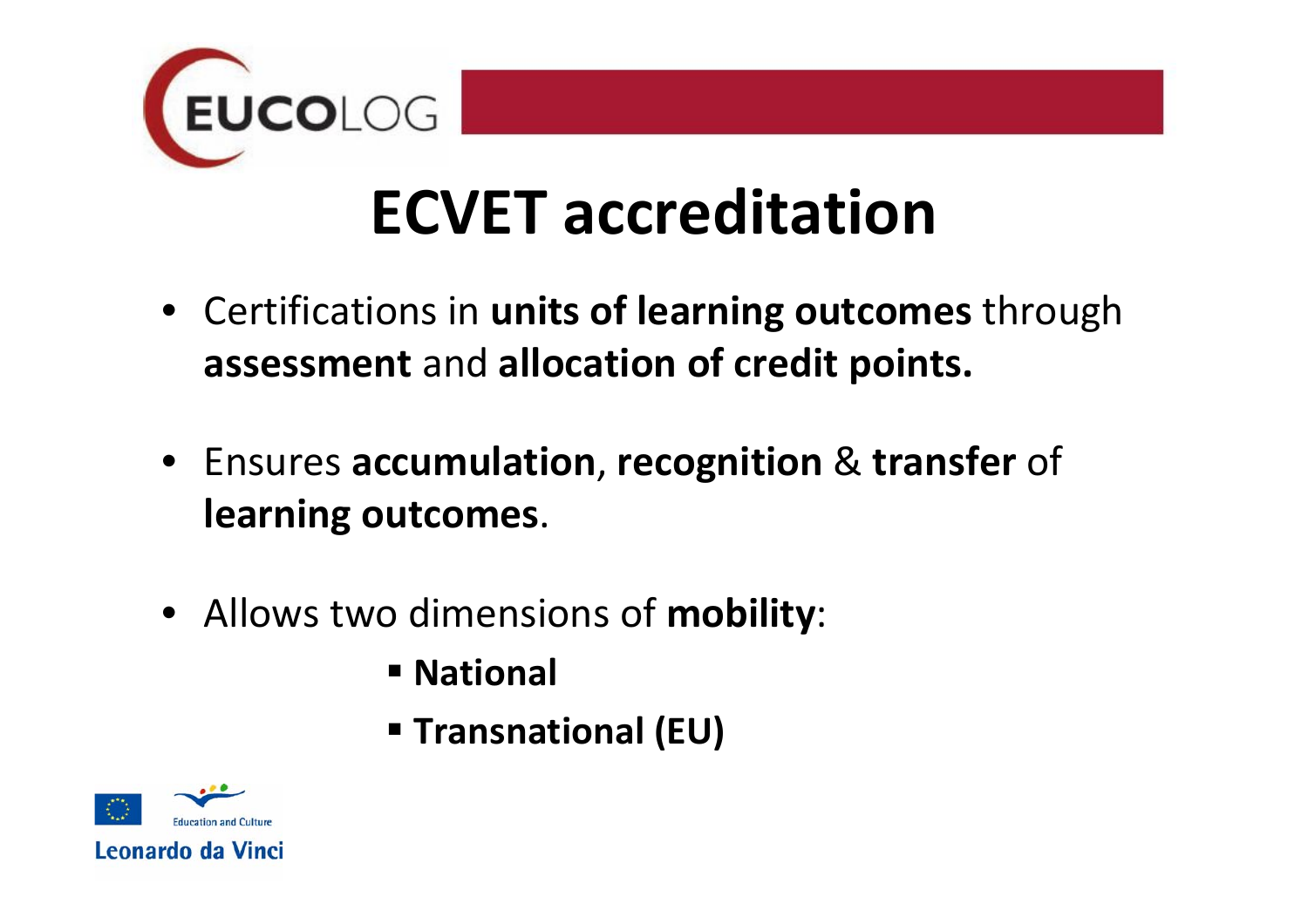

## **ECVET accreditation**

- Certifications in **units of learning outcomes** through **assessment** and **allocation of credit points.**
- Ensures **accumulation**, **recognition** & **transfer** of **learning outcomes**.
- Allows two dimensions of **mobility**:
	- **National**
	- **Transnational (EU)**

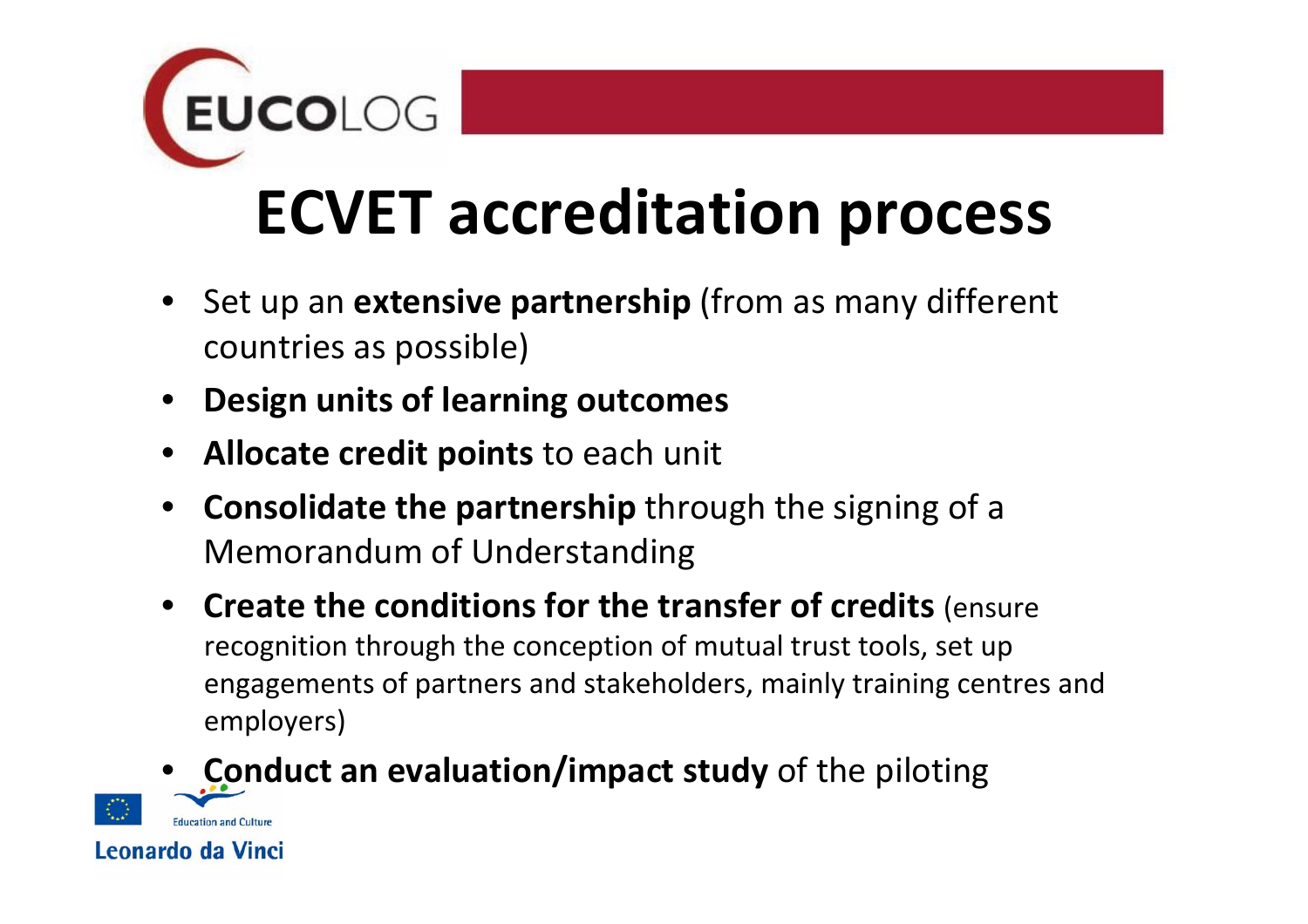

## **ECVET accreditation process**

- Set up an **extensive partnership** (from as many different countries as possible)
- **Design units of learning outcomes**
- **Allocate credit points** to each unit
- **Consolidate the partnership** through the signing of <sup>a</sup> Memorandum of Understanding
- **Create the conditions for the transfer of credits** (ensure recognition through the conception of mutual trust tools, set up engagements of partners and stakeholders, mainly training centres and employers)
- **Conduct an evaluation/impact study** of the piloting**Education and Culture** Leonardo da Vinci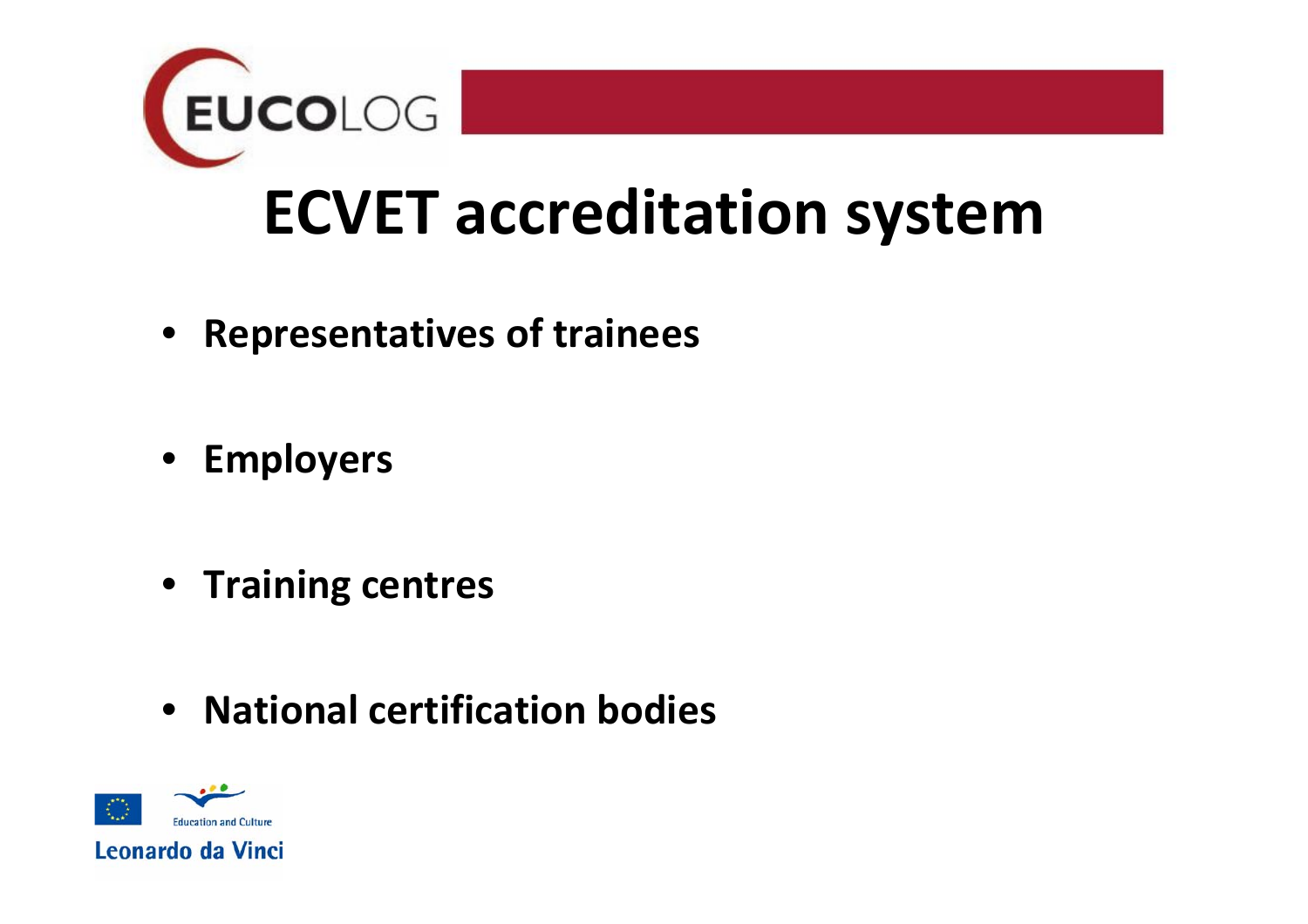

#### **ECVET accreditation system**

- **Representatives of trainees**
- **Employers**
- **Training centres**
- **National certification bodies**

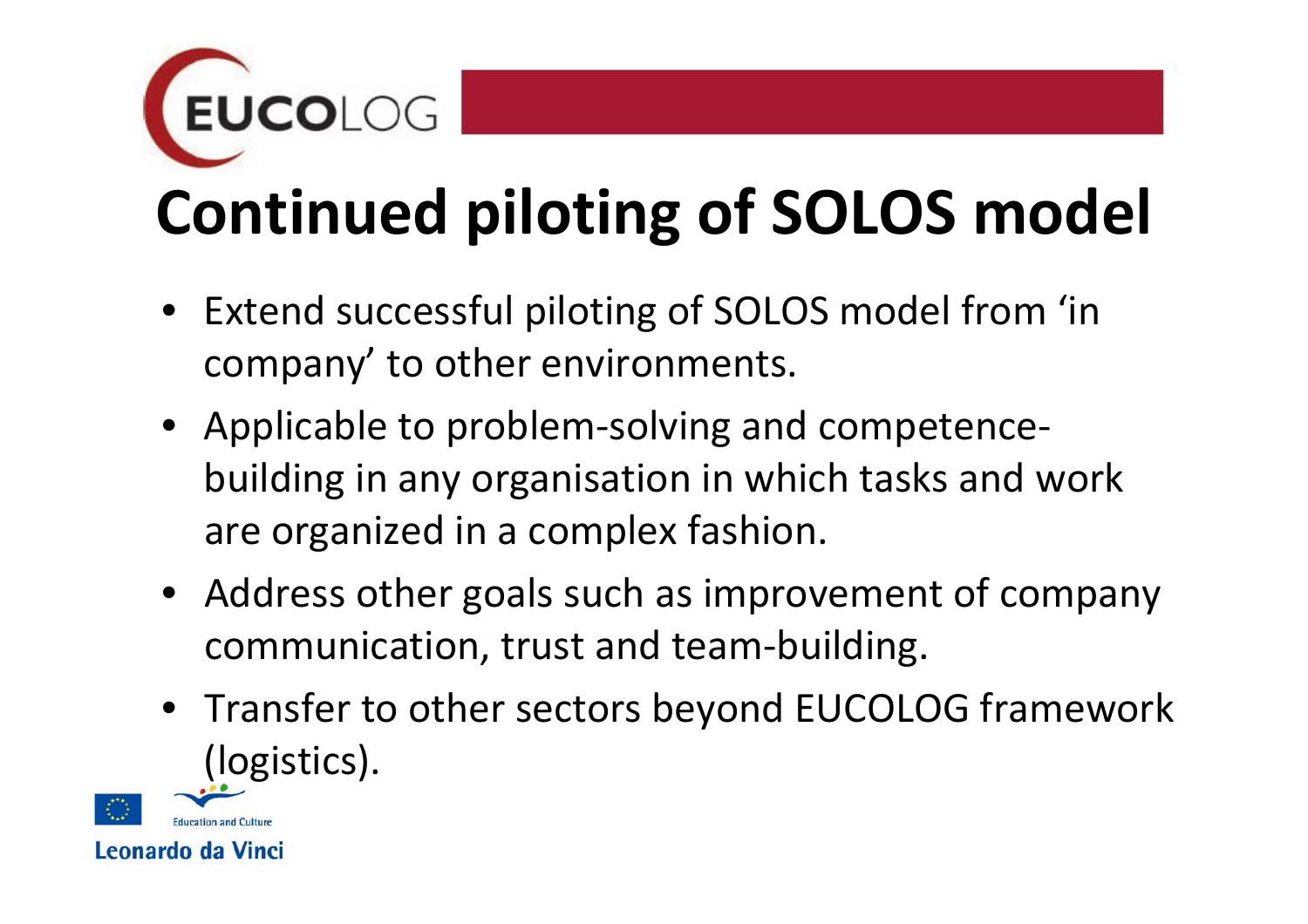

Leonardo da Vinci

# **Continued piloting of SOLOS model**

- Extend successful piloting of SOLOS model from 'in company' to other environments.
- Applicable to problem‐solving and competence‐ building in any organisation in which tasks and work are organized in <sup>a</sup> complex fashion.
- Address other goals such as improvement of company communication, trust and team‐building.
- Transfer to other sectors beyond EUCOLOG framework (logistics).